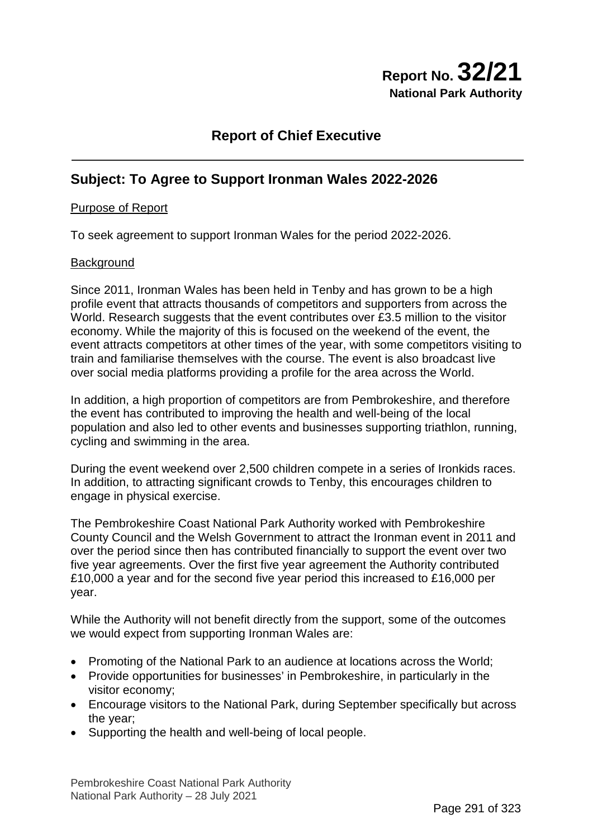# **Report No. 32/21 National Park Authority**

# **Report of Chief Executive**

# **Subject: To Agree to Support Ironman Wales 2022-2026**

### Purpose of Report

To seek agreement to support Ironman Wales for the period 2022-2026.

#### **Background**

Since 2011, Ironman Wales has been held in Tenby and has grown to be a high profile event that attracts thousands of competitors and supporters from across the World. Research suggests that the event contributes over £3.5 million to the visitor economy. While the majority of this is focused on the weekend of the event, the event attracts competitors at other times of the year, with some competitors visiting to train and familiarise themselves with the course. The event is also broadcast live over social media platforms providing a profile for the area across the World.

In addition, a high proportion of competitors are from Pembrokeshire, and therefore the event has contributed to improving the health and well-being of the local population and also led to other events and businesses supporting triathlon, running, cycling and swimming in the area.

During the event weekend over 2,500 children compete in a series of Ironkids races. In addition, to attracting significant crowds to Tenby, this encourages children to engage in physical exercise.

The Pembrokeshire Coast National Park Authority worked with Pembrokeshire County Council and the Welsh Government to attract the Ironman event in 2011 and over the period since then has contributed financially to support the event over two five year agreements. Over the first five year agreement the Authority contributed £10,000 a year and for the second five year period this increased to £16,000 per year.

While the Authority will not benefit directly from the support, some of the outcomes we would expect from supporting Ironman Wales are:

- Promoting of the National Park to an audience at locations across the World;
- Provide opportunities for businesses' in Pembrokeshire, in particularly in the visitor economy;
- Encourage visitors to the National Park, during September specifically but across the year;
- Supporting the health and well-being of local people.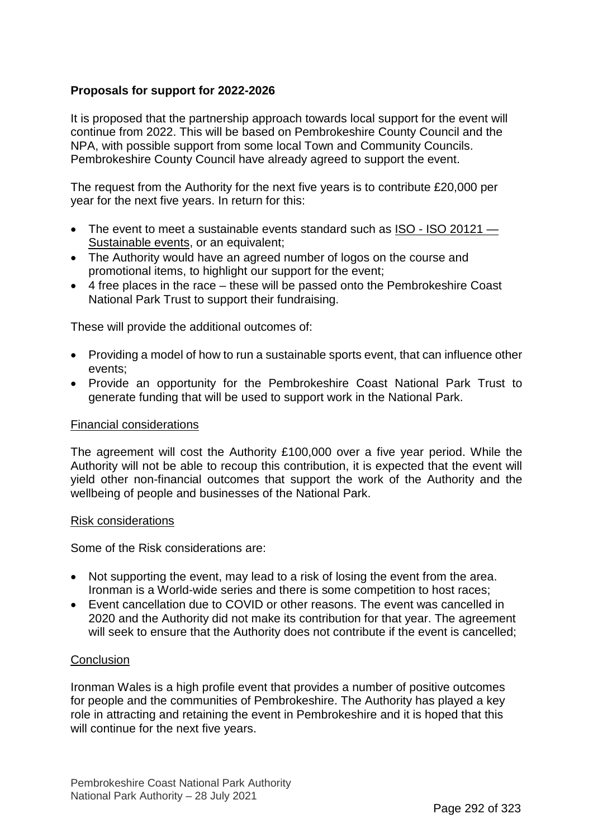# **Proposals for support for 2022-2026**

It is proposed that the partnership approach towards local support for the event will continue from 2022. This will be based on Pembrokeshire County Council and the NPA, with possible support from some local Town and Community Councils. Pembrokeshire County Council have already agreed to support the event.

The request from the Authority for the next five years is to contribute £20,000 per year for the next five years. In return for this:

- The event to meet a sustainable events standard such as ISO ISO 20121 -[Sustainable events,](https://www.iso.org/iso-20121-sustainable-events.html) or an equivalent;
- The Authority would have an agreed number of logos on the course and promotional items, to highlight our support for the event;
- 4 free places in the race these will be passed onto the Pembrokeshire Coast National Park Trust to support their fundraising.

These will provide the additional outcomes of:

- Providing a model of how to run a sustainable sports event, that can influence other events;
- Provide an opportunity for the Pembrokeshire Coast National Park Trust to generate funding that will be used to support work in the National Park.

#### Financial considerations

The agreement will cost the Authority £100,000 over a five year period. While the Authority will not be able to recoup this contribution, it is expected that the event will yield other non-financial outcomes that support the work of the Authority and the wellbeing of people and businesses of the National Park.

#### Risk considerations

Some of the Risk considerations are:

- Not supporting the event, may lead to a risk of losing the event from the area. Ironman is a World-wide series and there is some competition to host races;
- Event cancellation due to COVID or other reasons. The event was cancelled in 2020 and the Authority did not make its contribution for that year. The agreement will seek to ensure that the Authority does not contribute if the event is cancelled;

### **Conclusion**

Ironman Wales is a high profile event that provides a number of positive outcomes for people and the communities of Pembrokeshire. The Authority has played a key role in attracting and retaining the event in Pembrokeshire and it is hoped that this will continue for the next five years.